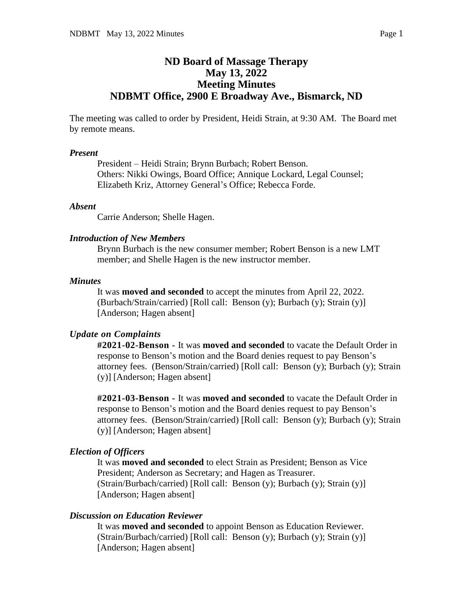# **ND Board of Massage Therapy May 13, 2022 Meeting Minutes NDBMT Office, 2900 E Broadway Ave., Bismarck, ND**

The meeting was called to order by President, Heidi Strain, at 9:30 AM. The Board met by remote means.

#### *Present*

President – Heidi Strain; Brynn Burbach; Robert Benson. Others: Nikki Owings, Board Office; Annique Lockard, Legal Counsel; Elizabeth Kriz, Attorney General's Office; Rebecca Forde.

### *Absent*

Carrie Anderson; Shelle Hagen.

### *Introduction of New Members*

Brynn Burbach is the new consumer member; Robert Benson is a new LMT member; and Shelle Hagen is the new instructor member.

### *Minutes*

It was **moved and seconded** to accept the minutes from April 22, 2022. (Burbach/Strain/carried) [Roll call: Benson (y); Burbach (y); Strain (y)] [Anderson; Hagen absent]

### *Update on Complaints*

**#2021-02-Benson -** It was **moved and seconded** to vacate the Default Order in response to Benson's motion and the Board denies request to pay Benson's attorney fees. (Benson/Strain/carried) [Roll call: Benson (y); Burbach (y); Strain (y)] [Anderson; Hagen absent]

**#2021-03-Benson -** It was **moved and seconded** to vacate the Default Order in response to Benson's motion and the Board denies request to pay Benson's attorney fees. (Benson/Strain/carried) [Roll call: Benson (y); Burbach (y); Strain (y)] [Anderson; Hagen absent]

### *Election of Officers*

It was **moved and seconded** to elect Strain as President; Benson as Vice President; Anderson as Secretary; and Hagen as Treasurer. (Strain/Burbach/carried) [Roll call: Benson (y); Burbach (y); Strain (y)] [Anderson; Hagen absent]

## *Discussion on Education Reviewer*

It was **moved and seconded** to appoint Benson as Education Reviewer. (Strain/Burbach/carried) [Roll call: Benson (y); Burbach (y); Strain (y)] [Anderson; Hagen absent]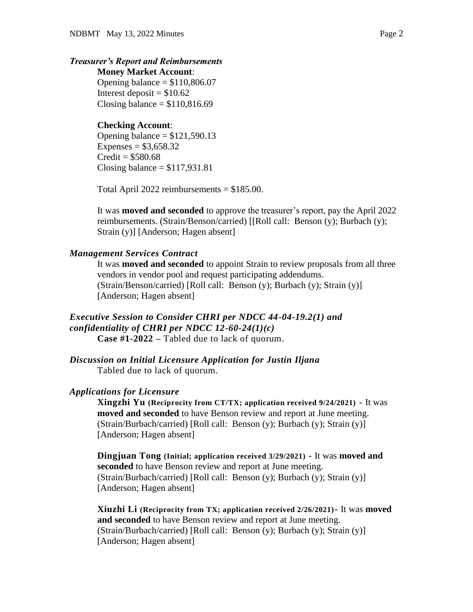## *Treasurer's Report and Reimbursements*

**Money Market Account**: Opening balance  $= $110,806.07$ Interest deposit  $= $10.62$ Closing balance  $= $110,816.69$ 

### **Checking Account**:

Opening balance  $= $121,590.13$ Expenses =  $$3,658.32$  $Credit = $580.68$ Closing balance  $= $117,931.81$ 

Total April 2022 reimbursements = \$185.00.

It was **moved and seconded** to approve the treasurer's report, pay the April 2022 reimbursements. (Strain/Benson/carried) [[Roll call: Benson (y); Burbach (y); Strain (y)] [Anderson; Hagen absent]

#### *Management Services Contract*

It was **moved and seconded** to appoint Strain to review proposals from all three vendors in vendor pool and request participating addendums. (Strain/Benson/carried) [Roll call: Benson (y); Burbach (y); Strain (y)] [Anderson; Hagen absent]

### *Executive Session to Consider CHRI per NDCC 44-04-19.2(1) and confidentiality of CHRI per NDCC 12-60-24(1)(c)* **Case #1-2022 –** Tabled due to lack of quorum.

*Discussion on Initial Licensure Application for Justin Iljana* Tabled due to lack of quorum.

#### *Applications for Licensure*

**Xingzhi Yu (Reciprocity from CT/TX; application received 9/24/2021) -** It was **moved and seconded** to have Benson review and report at June meeting. (Strain/Burbach/carried) [Roll call: Benson (y); Burbach (y); Strain (y)] [Anderson; Hagen absent]

**Dingjuan Tong (Initial; application received 3/29/2021) -** It was **moved and seconded** to have Benson review and report at June meeting. (Strain/Burbach/carried) [Roll call: Benson (y); Burbach (y); Strain (y)] [Anderson; Hagen absent]

**Xiuzhi Li (Reciprocity from TX; application received 2/26/2021)-** It was **moved and seconded** to have Benson review and report at June meeting. (Strain/Burbach/carried) [Roll call: Benson (y); Burbach (y); Strain (y)] [Anderson; Hagen absent]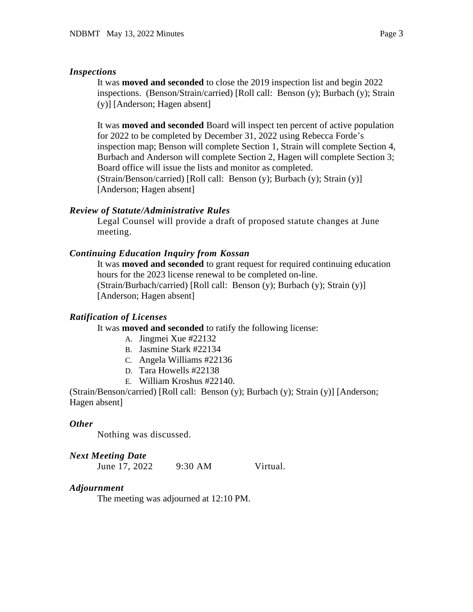### *Inspections*

It was **moved and seconded** to close the 2019 inspection list and begin 2022 inspections. (Benson/Strain/carried) [Roll call: Benson (y); Burbach (y); Strain (y)] [Anderson; Hagen absent]

It was **moved and seconded** Board will inspect ten percent of active population for 2022 to be completed by December 31, 2022 using Rebecca Forde's inspection map; Benson will complete Section 1, Strain will complete Section 4, Burbach and Anderson will complete Section 2, Hagen will complete Section 3; Board office will issue the lists and monitor as completed. (Strain/Benson/carried) [Roll call: Benson (y); Burbach (y); Strain (y)] [Anderson; Hagen absent]

## *Review of Statute/Administrative Rules*

Legal Counsel will provide a draft of proposed statute changes at June meeting.

## *Continuing Education Inquiry from Kossan*

It was **moved and seconded** to grant request for required continuing education hours for the 2023 license renewal to be completed on-line. (Strain/Burbach/carried) [Roll call: Benson (y); Burbach (y); Strain (y)] [Anderson; Hagen absent]

## *Ratification of Licenses*

It was **moved and seconded** to ratify the following license:

- A. Jingmei Xue #22132
- B. Jasmine Stark #22134
- C. Angela Williams #22136
- D. Tara Howells #22138
- E. William Kroshus #22140.

(Strain/Benson/carried) [Roll call: Benson (y); Burbach (y); Strain (y)] [Anderson; Hagen absent]

## *Other*

Nothing was discussed.

## *Next Meeting Date*

June 17, 2022 9:30 AM Virtual.

## *Adjournment*

The meeting was adjourned at 12:10 PM.